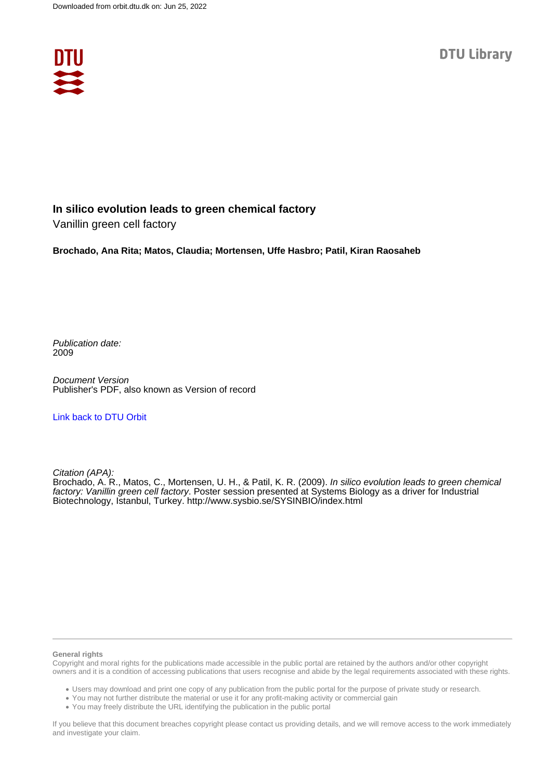

## **In silico evolution leads to green chemical factory**

Vanillin green cell factory

**Brochado, Ana Rita; Matos, Claudia; Mortensen, Uffe Hasbro; Patil, Kiran Raosaheb**

Publication date: 2009

Document Version Publisher's PDF, also known as Version of record

### [Link back to DTU Orbit](https://orbit.dtu.dk/en/publications/221ee2c5-9a0b-4adb-98a7-9365a56359cd)

Citation (APA):

Brochado, A. R., Matos, C., Mortensen, U. H., & Patil, K. R. (2009). In silico evolution leads to green chemical factory: Vanillin green cell factory. Poster session presented at Systems Biology as a driver for Industrial Biotechnology, Istanbul, Turkey.<http://www.sysbio.se/SYSINBIO/index.html>

#### **General rights**

Copyright and moral rights for the publications made accessible in the public portal are retained by the authors and/or other copyright owners and it is a condition of accessing publications that users recognise and abide by the legal requirements associated with these rights.

Users may download and print one copy of any publication from the public portal for the purpose of private study or research.

- You may not further distribute the material or use it for any profit-making activity or commercial gain
- You may freely distribute the URL identifying the publication in the public portal

If you believe that this document breaches copyright please contact us providing details, and we will remove access to the work immediately and investigate your claim.